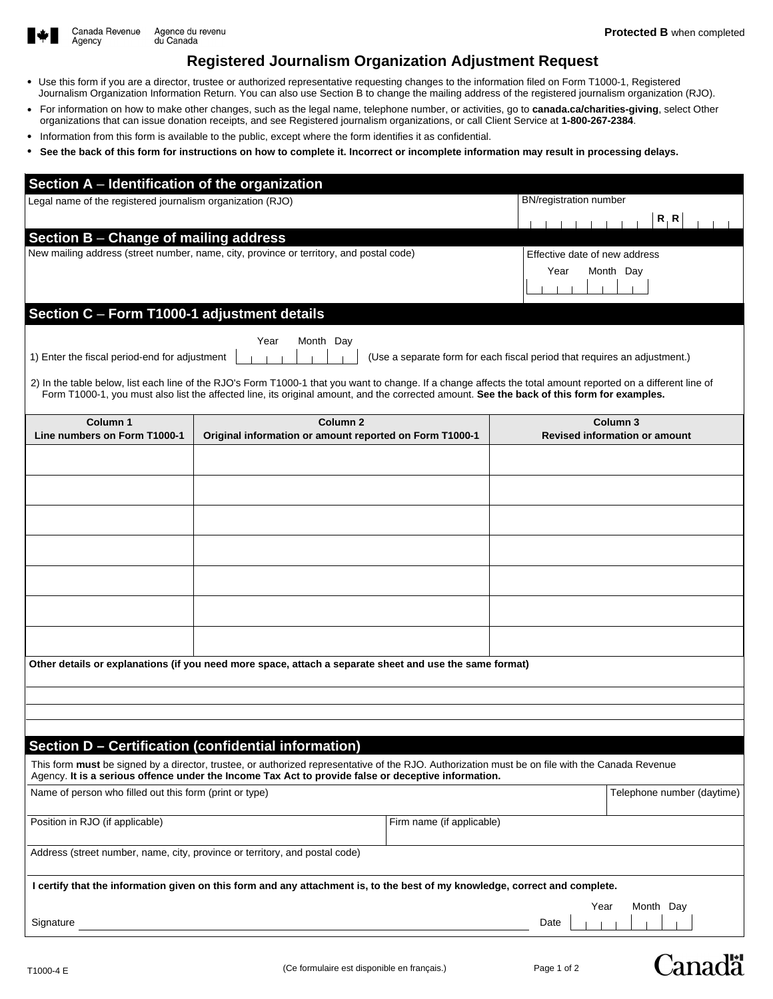

Agency

# **Registered Journalism Organization Adjustment Request**

- Use this form if you are a director, trustee or authorized representative requesting changes to the information filed on Form T1000-1, Registered Journalism Organization Information Return. You can also use Section B to change the mailing address of the registered journalism organization (RJO).
- For information on how to make other changes, such as the legal name, telephone number, or activities, go to **canada.ca/charities-giving**, select Other organizations that can issue donation receipts, and see Registered journalism organizations, or call Client Service at **1-800-267-2384**.
- Information from this form is available to the public, except where the form identifies it as confidential.
- **See the back of this form for instructions on how to complete it. Incorrect or incomplete information may result in processing delays.**

| Section A - Identification of the organization                                                                                                                                                                                                                                                              |                                                                                         |                               |                                                                           |                                                             |  |  |
|-------------------------------------------------------------------------------------------------------------------------------------------------------------------------------------------------------------------------------------------------------------------------------------------------------------|-----------------------------------------------------------------------------------------|-------------------------------|---------------------------------------------------------------------------|-------------------------------------------------------------|--|--|
| Legal name of the registered journalism organization (RJO)                                                                                                                                                                                                                                                  |                                                                                         | <b>BN/registration number</b> |                                                                           |                                                             |  |  |
|                                                                                                                                                                                                                                                                                                             |                                                                                         |                               |                                                                           | R, R                                                        |  |  |
| Section B - Change of mailing address                                                                                                                                                                                                                                                                       | New mailing address (street number, name, city, province or territory, and postal code) |                               | Effective date of new address                                             |                                                             |  |  |
|                                                                                                                                                                                                                                                                                                             |                                                                                         |                               | Year                                                                      | Month Day                                                   |  |  |
|                                                                                                                                                                                                                                                                                                             |                                                                                         |                               |                                                                           |                                                             |  |  |
| Section C - Form T1000-1 adjustment details                                                                                                                                                                                                                                                                 |                                                                                         |                               |                                                                           |                                                             |  |  |
|                                                                                                                                                                                                                                                                                                             | Month Day<br>Year                                                                       |                               |                                                                           |                                                             |  |  |
| 1) Enter the fiscal period-end for adjustment                                                                                                                                                                                                                                                               |                                                                                         |                               | (Use a separate form for each fiscal period that requires an adjustment.) |                                                             |  |  |
| 2) In the table below, list each line of the RJO's Form T1000-1 that you want to change. If a change affects the total amount reported on a different line of<br>Form T1000-1, you must also list the affected line, its original amount, and the corrected amount. See the back of this form for examples. |                                                                                         |                               |                                                                           |                                                             |  |  |
| Column <sub>1</sub><br>Line numbers on Form T1000-1                                                                                                                                                                                                                                                         | Column <sub>2</sub><br>Original information or amount reported on Form T1000-1          |                               |                                                                           | Column <sub>3</sub><br><b>Revised information or amount</b> |  |  |
|                                                                                                                                                                                                                                                                                                             |                                                                                         |                               |                                                                           |                                                             |  |  |
|                                                                                                                                                                                                                                                                                                             |                                                                                         |                               |                                                                           |                                                             |  |  |
|                                                                                                                                                                                                                                                                                                             |                                                                                         |                               |                                                                           |                                                             |  |  |
|                                                                                                                                                                                                                                                                                                             |                                                                                         |                               |                                                                           |                                                             |  |  |
|                                                                                                                                                                                                                                                                                                             |                                                                                         |                               |                                                                           |                                                             |  |  |
|                                                                                                                                                                                                                                                                                                             |                                                                                         |                               |                                                                           |                                                             |  |  |
|                                                                                                                                                                                                                                                                                                             |                                                                                         |                               |                                                                           |                                                             |  |  |
|                                                                                                                                                                                                                                                                                                             |                                                                                         |                               |                                                                           |                                                             |  |  |
| Other details or explanations (if you need more space, attach a separate sheet and use the same format)                                                                                                                                                                                                     |                                                                                         |                               |                                                                           |                                                             |  |  |
|                                                                                                                                                                                                                                                                                                             |                                                                                         |                               |                                                                           |                                                             |  |  |
|                                                                                                                                                                                                                                                                                                             |                                                                                         |                               |                                                                           |                                                             |  |  |
|                                                                                                                                                                                                                                                                                                             | Section D - Certification (confidential information)                                    |                               |                                                                           |                                                             |  |  |
| This form must be signed by a director, trustee, or authorized representative of the RJO. Authorization must be on file with the Canada Revenue<br>Agency. It is a serious offence under the Income Tax Act to provide false or deceptive information.                                                      |                                                                                         |                               |                                                                           |                                                             |  |  |
| Name of person who filled out this form (print or type)                                                                                                                                                                                                                                                     |                                                                                         |                               |                                                                           | Telephone number (daytime)                                  |  |  |
| Position in RJO (if applicable)                                                                                                                                                                                                                                                                             | Firm name (if applicable)                                                               |                               |                                                                           |                                                             |  |  |
| Address (street number, name, city, province or territory, and postal code)                                                                                                                                                                                                                                 |                                                                                         |                               |                                                                           |                                                             |  |  |
| I certify that the information given on this form and any attachment is, to the best of my knowledge, correct and complete.                                                                                                                                                                                 |                                                                                         |                               |                                                                           |                                                             |  |  |
| Signature                                                                                                                                                                                                                                                                                                   |                                                                                         |                               | Year<br>Date                                                              | Month Day                                                   |  |  |
|                                                                                                                                                                                                                                                                                                             |                                                                                         |                               |                                                                           |                                                             |  |  |

**Canadä**